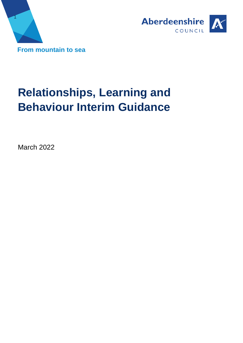



# **Relationships, Learning and Behaviour Interim Guidance**

March 2022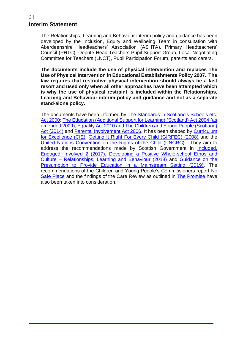## **Interim Statement**

The Relationships, Learning and Behaviour interim policy and guidance has been developed by the Inclusion, Equity and Wellbeing Team in consultation with Aberdeenshire Headteachers' Association (ASHTA), Primary Headteachers' Council (PHTC), Depute Head Teachers Pupil Support Group, Local Negotiating Committee for Teachers (LNCT), Pupil Participation Forum, parents and carers.

**The documents include the use of physical intervention and replaces The Use of Physical Intervention in Educational Establishments Policy 2007. The law requires that restrictive physical intervention should always be a last resort and used only when all other approaches have been attempted which is why the use of physical restraint is included within the Relationships, Learning and Behaviour interim policy and guidance and not as a separate stand-alone policy.** 

The documents have been informed by [The Standards in Scotland's Schools etc.](https://www.legislation.gov.uk/asp/2000/6/contents)  [Act 2000;](https://www.legislation.gov.uk/asp/2000/6/contents) [The Education \(Additional Support for Learning\) \(Scotland\) Act 2004 \(as](https://www.legislation.gov.uk/asp/2004/4/contents)  [amended 2009\)](https://www.legislation.gov.uk/asp/2004/4/contents); [Equality Act 2010](https://www.legislation.gov.uk/ukpga/2010/15/contents) and [The Children and Young People \(Scotland\)](https://www.legislation.gov.uk/asp/2014/8/contents/enacted)  [Act \(2014\)](https://www.legislation.gov.uk/asp/2014/8/contents/enacted) and [Parental Involvement Act 2006.](https://www.legislation.gov.uk/asp/2006/8/contents) It has been shaped by [Curriculum](https://education.gov.scot/education-scotland/scottish-education-system/policy-for-scottish-education/policy-drivers/cfe-building-from-the-statement-appendix-incl-btc1-5/what-is-curriculum-for-excellence/)  [for Excellence \(CfE\),](https://education.gov.scot/education-scotland/scottish-education-system/policy-for-scottish-education/policy-drivers/cfe-building-from-the-statement-appendix-incl-btc1-5/what-is-curriculum-for-excellence/) [Getting It Right For Every Child \(GIRFEC\) \(2008\)](https://www.gov.scot/policies/girfec/) and the [United Nations Convention on the Rights of the Child \(UNCRC\).](https://www.unicef.org.uk/what-we-do/un-convention-child-rights/) They aim to address the recommendations made by Scottish Government in [Included,](https://www.gov.scot/publications/included-engaged-involved-part-2-positive-approach-preventing-managing-school/)  [Engaged, Involved 2 \(2017\),](https://www.gov.scot/publications/included-engaged-involved-part-2-positive-approach-preventing-managing-school/) [Developing a Positive Whole-school Ethos and](https://www.gov.scot/publications/developing-positive-whole-school-ethos-culture-relationships-learning-behaviour/pages/1/)  Culture – [Relationships, Learning and Behaviour \(2018\)](https://www.gov.scot/publications/developing-positive-whole-school-ethos-culture-relationships-learning-behaviour/pages/1/) and [Guidance on the](https://www.gov.scot/publications/guidance-presumption-provide-education-mainstream-setting/)  [Presumption to Provide Education in a Mainstream Setting \(2019\).](https://www.gov.scot/publications/guidance-presumption-provide-education-mainstream-setting/) The recommendations of the Children and Young People's Commissioners report No [Safe Place](https://cypcs.org.uk/ufiles/No-Safe-Place.pdf) and the findings of the Care Review as outlined in [The Promise](https://thepromise.scot/) have also been taken into consideration.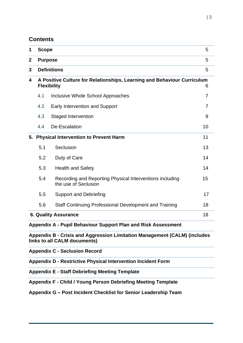### **Contents**

| 1                | <b>Scope</b>                                                                 |                                                                                  |    |  |  |  |
|------------------|------------------------------------------------------------------------------|----------------------------------------------------------------------------------|----|--|--|--|
| $\boldsymbol{2}$ | <b>Purpose</b>                                                               |                                                                                  |    |  |  |  |
| 3                | <b>Definitions</b><br>5                                                      |                                                                                  |    |  |  |  |
| 4                | A Positive Culture for Relationships, Learning and Behaviour Curriculum<br>6 |                                                                                  |    |  |  |  |
|                  | 4.1                                                                          | <b>Inclusive Whole School Approaches</b>                                         | 7  |  |  |  |
|                  | 4.2                                                                          | <b>Early Intervention and Support</b>                                            | 7  |  |  |  |
|                  | 4.3                                                                          | <b>Staged Intervention</b>                                                       | 9  |  |  |  |
|                  | 4.4                                                                          | De-Escalation                                                                    | 10 |  |  |  |
|                  | 5. Physical Intervention to Prevent Harm                                     |                                                                                  |    |  |  |  |
|                  | 5.1                                                                          | Seclusion                                                                        | 13 |  |  |  |
|                  | 5.2                                                                          | Duty of Care                                                                     | 14 |  |  |  |
|                  | 5.3                                                                          | <b>Health and Safety</b>                                                         | 14 |  |  |  |
|                  | 5.4                                                                          | Recording and Reporting Physical Interventions including<br>the use of Seclusion | 15 |  |  |  |
|                  | 5.5                                                                          | <b>Support and Debriefing</b>                                                    | 17 |  |  |  |
|                  | 5.6                                                                          | Staff Continuing Professional Development and Training                           | 18 |  |  |  |
|                  | 18<br><b>6. Quality Assurance</b>                                            |                                                                                  |    |  |  |  |
|                  | Appendix A - Pupil Behaviour Support Plan and Risk Assessment                |                                                                                  |    |  |  |  |
|                  | Appendix B - Crisis and Aggression Limitation Management (CALM) (includes    |                                                                                  |    |  |  |  |

**links to all CALM documents)**

**Appendix C - [Seclusion Record](#page-4-0)**

**Appendix D - Restrictive Physical Intervention Incident Form**

**Appendix E - Staff Debriefing Meeting Template**

**Appendix F - Child / Young Person Debriefing Meeting Template**

### **Appendix G – Post Incident Checklist for Senior Leadership Team**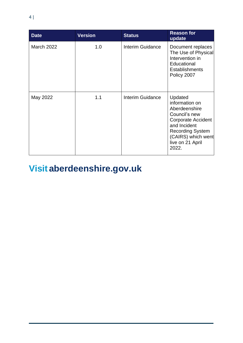| <b>Date</b>       | <b>Version</b> | <b>Status</b>    | <b>Reason for</b><br>update                                                                                                                                                            |
|-------------------|----------------|------------------|----------------------------------------------------------------------------------------------------------------------------------------------------------------------------------------|
| <b>March 2022</b> | 1.0            | Interim Guidance | Document replaces<br>The Use of Physical<br>Intervention in<br>Educational<br><b>Establishments</b><br>Policy 2007                                                                     |
| May 2022          | 1.1            | Interim Guidance | Updated<br>information on<br>Aberdeenshire<br>Council's new<br><b>Corporate Accident</b><br>and Incident<br><b>Recording System</b><br>(CAIRS) which went<br>live on 21 April<br>2022. |

# **Visit aberdeenshire.gov.uk**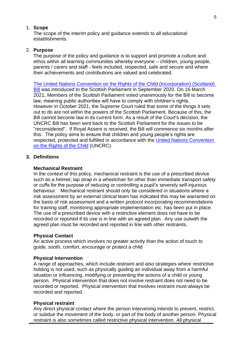#### <span id="page-4-0"></span>1. **Scope**

The scope of the interim policy and guidance extends to all educational establishments.

#### 2. **Purpose**

The purpose of the policy and guidance is to support and promote a culture and ethos within all learning communities whereby everyone – children, young people, parents / carers and staff - feels included, respected, safe and secure and where their achievements and contributions are valued and celebrated.

[The United Nations Convention on the Rights of the Child \(Incorporation\) \(Scotland\)](https://www.parliament.scot/bills-and-laws/bills/united-nations-convention-on-the-rights-of-the-child-incorporation-scotland-bill)  [Bill](https://www.parliament.scot/bills-and-laws/bills/united-nations-convention-on-the-rights-of-the-child-incorporation-scotland-bill) was introduced to the Scottish Parliament in September 2020. On 16 March 2021, Members of the Scottish Parliament voted unanimously for the Bill to become law, meaning public authorities will have to comply with children's rights. However in October 2021, the Supreme Court ruled that some of the things it sets out to do are not within the powers of the Scottish Parliament. Because of this, the Bill cannot become law in its current form. As a result of the Court's decision, the UNCRC Bill has been sent back to the Scottish Parliament for the issues to be "reconsidered". If Royal Assent is received, the Bill will commence six months after this. The policy aims to ensure that children and young people's rights are respected, protected and fulfilled in accordance with the [United Nations Convention](https://www.unicef.org/child-rights-convention/what-is-the-convention)  [on the Rights of the Child](https://www.unicef.org/child-rights-convention/what-is-the-convention) (UNCRC).

#### **3. Definitions**

#### **Mechanical Restraint**

In the context of this policy, mechanical restraint is the use of a prescribed device such as a helmet, lap strap in a wheelchair for other than immediate transport safety or cuffs for the purpose of reducing or controlling a pupil's severely self-injurious behaviour. Mechanical restraint should only be considered in situations where a risk assessment by an external clinical team has indicated this may be warranted on the basis of risk assessment and a written protocol incorporating recommendations for training staff, monitoring appropriate implementation etc. has been put in place. The use of a prescribed device with a restrictive element does not have to be recorded or reported if its use is in line with an agreed plan. Any use outwith the agreed plan must be recorded and reported in line with other restraints.

#### **Physical Contact**

An active process which involves no greater activity than the action of touch to guide, sooth, comfort, encourage or protect a child

#### **Physical Intervention**

A range of approaches, which include restraint and also strategies where restrictive holding is not used, such as physically guiding an individual away from a harmful situation or influencing, modifying or preventing the actions of a child or young person. Physical intervention that does not involve restraint does not need to be recorded or reported. Physical intervention that involves restraint must always be recorded and reported.

#### **Physical restraint**

Any direct physical contact where the person intervening intends to prevent, restrict, or subdue the movement of the body, or part of the body of another person. Physical restraint is also sometimes called restrictive physical intervention. All physical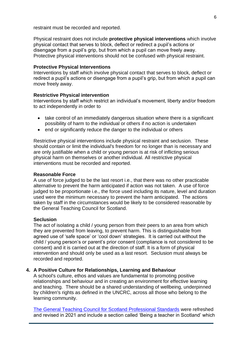restraint must be recorded and reported.

Physical restraint does not include **protective physical interventions** which involve physical contact that serves to block, deflect or redirect a pupil's actions or disengage from a pupil's grip, but from which a pupil can move freely away. Protective physical interventions should not be confused with physical restraint.

#### **Protective Physical Interventions**

Interventions by staff which involve physical contact that serves to block, deflect or redirect a pupil's actions or disengage from a pupil's grip, but from which a pupil can move freely away.

#### **Restrictive Physical intervention**

Interventions by staff which restrict an individual's movement, liberty and/or freedom to act independently in order to

- take control of an immediately dangerous situation where there is a significant possibility of harm to the individual or others if no action is undertaken
- end or significantly reduce the danger to the individual or others

Restrictive physical interventions include physical restraint and seclusion. These should contain or limit the individual's freedom for no longer than is necessary and are only justifiable when a child or young person is at risk of inflicting serious physical harm on themselves or another individual. All restrictive physical interventions must be recorded and reported.

#### **Reasonable Force**

A use of force judged to be the last resort i.e., that there was no other practicable alternative to prevent the harm anticipated if action was not taken. A use of force judged to be proportionate i.e., the force used including its nature, level and duration used were the minimum necessary to prevent the harm anticipated. The actions taken by staff in the circumstances would be likely to be considered reasonable by the General Teaching Council for Scotland.

#### **Seclusion**

The act of isolating a child / young person from their peers to an area from which they are prevented from leaving, to prevent harm. This is distinguishable from agreed use of 'safe space' or 'cool down' strategies. It is carried out without the child / young person's or parent's prior consent (compliance is not considered to be consent) and it is carried out at the direction of staff. It is a form of physical intervention and should only be used as a last resort. Seclusion must always be recorded and reported.

#### **4. A Positive Culture for Relationships, Learning and Behaviour**

A school's culture, ethos and values are fundamental to promoting positive relationships and behaviour and in creating an environment for effective learning and teaching. There should be a shared understanding of wellbeing, underpinned by children's rights as defined in the UNCRC, across all those who belong to the learning community.

[The General Teaching Council for Scotland Professional Standards](https://www.gtcs.org.uk/professional-standards/Standards-2021.aspx) were refreshed and revised in 2021 and include a section called 'Being a teacher in Scotland' which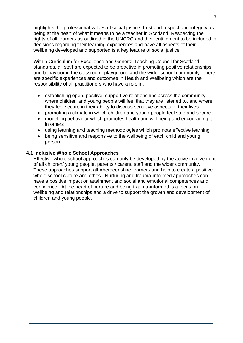highlights the professional values of social justice, trust and respect and integrity as being at the heart of what it means to be a teacher in Scotland. Respecting the rights of all learners as outlined in the UNCRC and their entitlement to be included in decisions regarding their learning experiences and have all aspects of their wellbeing developed and supported is a key feature of social justice.

Within Curriculum for Excellence and General Teaching Council for Scotland standards, all staff are expected to be proactive in promoting positive relationships and behaviour in the classroom, playground and the wider school community. There are specific experiences and outcomes in Health and Wellbeing which are the responsibility of all practitioners who have a role in:

- establishing open, positive, supportive relationships across the community, where children and young people will feel that they are listened to, and where they feel secure in their ability to discuss sensitive aspects of their lives
- promoting a climate in which children and young people feel safe and secure
- modelling behaviour which promotes health and wellbeing and encouraging it in others
- using learning and teaching methodologies which promote effective learning
- being sensitive and responsive to the wellbeing of each child and young person

#### **4.1 Inclusive Whole School Approaches**

Effective whole school approaches can only be developed by the active involvement of all children/ young people, parents / carers, staff and the wider community. These approaches support all Aberdeenshire learners and help to create a positive whole school culture and ethos. Nurturing and trauma-informed approaches can have a positive impact on attainment and social and emotional competences and confidence. At the heart of nurture and being trauma-informed is a focus on wellbeing and relationships and a drive to support the growth and development of children and young people.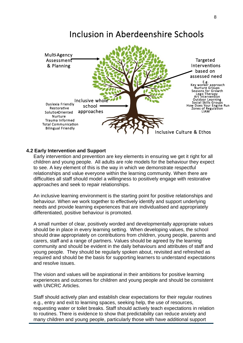# Inclusion in Aberdeenshire Schools



#### **4.2 Early Intervention and Support**

Early intervention and prevention are key elements in ensuring we get it right for all children and young people. All adults are role models for the behaviour they expect to see. A key element of this is the way in which we demonstrate respectful relationships and value everyone within the learning community. When there are difficulties all staff should model a willingness to positively engage with restorative approaches and seek to repair relationships.

An inclusive learning environment is the starting point for positive relationships and behaviour. When we work together to effectively identify and support underlying needs and provide learning experiences that are individualised and appropriately differentiated, positive behaviour is promoted.

A small number of clear, positively worded and developmentally appropriate values should be in place in every learning setting. When developing values, the school should draw appropriately on contributions from children, young people, parents and carers, staff and a range of partners. Values should be agreed by the learning community and should be evident in the daily behaviours and attributes of staff and young people. They should be regularly spoken about, revisited and refreshed as required and should be the basis for supporting learners to understand expectations and resolve issues.

The vision and values will be aspirational in their ambitions for positive learning experiences and outcomes for children and young people and should be consistent with UNCRC Articles.

Staff should actively plan and establish clear expectations for their regular routines e.g., entry and exit to learning spaces, seeking help, the use of resources, requesting water or toilet breaks. Staff should actively teach expectations in relation to routines. There is evidence to show that predictability can reduce anxiety and many children and young people, particularly those with have additional support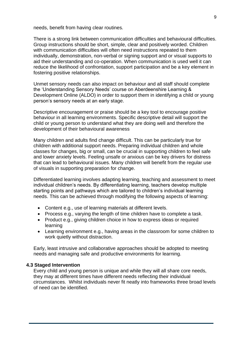needs, benefit from having clear routines.

There is a strong link between communication difficulties and behavioural difficulties. Group instructions should be short, simple, clear and positively worded. Children with communication difficulties will often need instructions repeated to them individually, demonstration, non-verbal or signing support and or visual supports to aid their understanding and co-operation. When communication is used well it can reduce the likelihood of confrontation, support participation and be a key element in fostering positive relationships.

Unmet sensory needs can also impact on behaviour and all staff should complete the 'Understanding Sensory Needs' course on Aberdeenshire Learning & Development Online (ALDO) in order to support them in identifying a child or young person's sensory needs at an early stage.

Descriptive encouragement or praise should be a key tool to encourage positive behaviour in all learning environments. Specific descriptive detail will support the child or young person to understand what they are doing well and therefore the development of their behavioural awareness

Many children and adults find change difficult. This can be particularly true for children with additional support needs. Preparing individual children and whole classes for changes, big or small, can be crucial in supporting children to feel safe and lower anxiety levels. Feeling unsafe or anxious can be key drivers for distress that can lead to behavioural issues. Many children will benefit from the regular use of visuals in supporting preparation for change.

Differentiated learning involves adapting learning, teaching and assessment to meet individual children's needs. By differentiating learning, teachers develop multiple starting points and pathways which are tailored to children's individual learning needs. This can be achieved through modifying the following aspects of learning:

- Content e.g., use of learning materials at different levels.
- Process e.g., varying the length of time children have to complete a task.
- Product e.g., giving children choice in how to express ideas or required learning
- Learning environment e.g., having areas in the classroom for some children to work quietly without distraction.

Early, least intrusive and collaborative approaches should be adopted to meeting needs and managing safe and productive environments for learning.

#### **4.3 Staged Intervention**

Every child and young person is unique and while they will all share core needs, they may at different times have different needs reflecting their individual circumstances. Whilst individuals never fit neatly into frameworks three broad levels of need can be identified.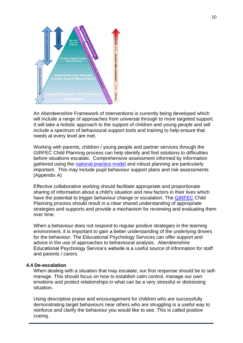

An Aberdeenshire Framework of Interventions is currently being developed which will include a range of approaches from universal through to more targeted support. It will take a holistic approach to the support of children and young people and will include a spectrum of behavioural support tools and training to help ensure that needs at every level are met.

Working with parents, children / young people and partner services through the GIRFEC Child Planning process can help identify and find solutions to difficulties before situations escalate. Comprehensive assessment informed by information gathered using the [national practice model](https://www.girfec-aberdeenshire.org/about-girfec/how-we-work/) and robust planning are particularly important. This may include pupil behaviour support plans and risk assessments (Appendix A)

Effective collaborative working should facilitate appropriate and proportionate sharing of information about a child's situation and new factors in their lives which have the potential to trigger behaviour change or escalation. The **GIRFEC** Child Planning process should result in a clear shared understanding of appropriate strategies and supports and provide a mechanism for reviewing and evaluating them over time.

When a behaviour does not respond to regular positive strategies in the learning environment, it is important to gain a better understanding of the underlying drivers for the behaviour. The Educational Psychology Services can offer support and advice in the use of approaches to behavioural analysis. Aberdeenshire Educational Psychology Service's website is a useful source of information for staff and parents / carers.

#### **4.4 De-escalation**

When dealing with a situation that may escalate, our first response should be to selfmanage. This should focus on how to establish calm control, manage our own emotions and protect relationships in what can be a very stressful or distressing situation.

Using descriptive praise and encouragement for children who are successfully demonstrating target behaviours near others who are struggling is a useful way to reinforce and clarify the behaviour you would like to see. This is called positive cueing.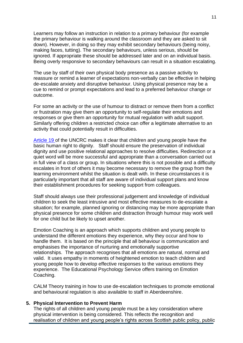Learners may follow an instruction in relation to a primary behaviour (for example the primary behaviour is walking around the classroom and they are asked to sit down). However, in doing so they may exhibit secondary behaviours (being noisy, making faces, tutting). The secondary behaviours, unless serious, should be ignored. If appropriate these should be addressed later and on an individual basis. Being overly responsive to secondary behaviours can result in a situation escalating.

The use by staff of their own physical body presence as a passive activity to reassure or remind a learner of expectations non-verbally can be effective in helping de-escalate anxiety and disruptive behaviour. Using physical presence may be a cue to remind or prompt expectations and lead to a preferred behaviour change or outcome.

For some an activity or the use of humour to distract or remove them from a conflict or frustration may give them an opportunity to self-regulate their emotions and responses or give them an opportunity for mutual regulation with adult support. Similarly offering children a restricted choice can offer a legitimate alternative to an activity that could potentially result in difficulties.

[Article 19](https://cypcs.org.uk/rights/uncrc/articles/article-19/#:~:text=Article%2019%20of%20the%20UNCRC%20says%20that%20if,young%20people%20should%20be%20investigated%20by%20the%20authorities.) of the UNCRC makes it clear that children and young people have the basic human right to dignity. Staff should ensure the preservation of individual dignity and use positive relational approaches to resolve difficulties. Redirection or a quiet word will be more successful and appropriate than a conversation carried out in full view of a class or group. In situations where this is not possible and a difficulty escalates in front of others it may become necessary to remove the group from the learning environment whilst the situation is dealt with. In these circumstances it is particularly important that all staff are aware of individual support plans and know their establishment procedures for seeking support from colleagues.

Staff should always use their professional judgement and knowledge of individual children to seek the least intrusive and most effective measures to de-escalate a situation; for example, planned ignoring or distancing may be more appropriate than physical presence for some children and distraction through humour may work well for one child but be likely to upset another.

Emotion Coaching is an approach which supports children and young people to understand the different emotions they experience, why they occur and how to handle them. It is based on the principle that all behaviour is communication and emphasises the importance of nurturing and emotionally supportive relationships. The approach recognises that all emotions are natural, normal and valid. It uses empathy in moments of heightened emotion to teach children and young people how to develop effective responses to the various emotions they experience. The Educational Psychology Service offers training on Emotion Coaching.

CALM Theory training in how to use de-escalation techniques to promote emotional and behavioural regulation is also available to staff in Aberdeenshire.

#### **5. Physical Intervention to Prevent Harm**

The rights of all children and young people must be a key consideration where physical intervention is being considered. This reflects the recognition and realisation of children and young people's rights across Scottish public policy, public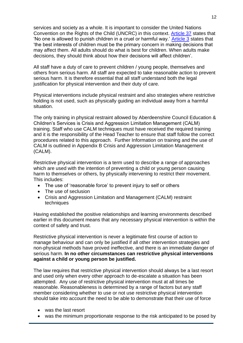services and society as a whole. It is important to consider the United Nations Convention on the Rights of the Child (UNCRC) in this context. [Article 37](https://cypcs.org.uk/rights/uncrc/articles/article-37/#:~:text=Article%2037%20of%20the%20UNCRC%20says%20that%20children,telephone%2C%20or%20in%20person%20at%20a%20police%20station.) states that 'No one is allowed to punish children in a cruel or harmful way.' [Article 3](https://cypcs.org.uk/rights/uncrc/articles/article-3/#:~:text=Article%203%20of%20the%20UNCRC%20is%20about%20children,people%20understand%20how%20the%20UNCRC%20works%20in%20practice.) states that 'the best interests of children must be the primary concern in making decisions that may affect them. All adults should do what is best for children. When adults make decisions, they should think about how their decisions will affect children'.

All staff have a duty of care to prevent children / young people, themselves and others from serious harm. All staff are expected to take reasonable action to prevent serious harm. It is therefore essential that all staff understand both the legal justification for physical intervention and their duty of care.

Physical interventions include physical restraint and also strategies where restrictive holding is not used, such as physically guiding an individual away from a harmful situation.

The only training in physical restraint allowed by Aberdeenshire Council Education & Children's Services is Crisis and Aggression Limitation Management (CALM) training. Staff who use CALM techniques must have received the required training and it is the responsibility of the Head Teacher to ensure that staff follow the correct procedures related to this approach. Further Information on training and the use of CALM is outlined in Appendix B Crisis and Aggression Limitation Management (CALM).

Restrictive physical intervention is a term used to describe a range of approaches which are used with the intention of preventing a child or young person causing harm to themselves or others, by physically intervening to restrict their movement. This includes:

- The use of 'reasonable force' to prevent injury to self or others
- The use of seclusion
- Crisis and Aggression Limitation and Management (CALM) restraint techniques

Having established the positive relationships and learning environments described earlier in this document means that any necessary physical intervention is within the context of safety and trust.

Restrictive physical intervention is never a legitimate first course of action to manage behaviour and can only be justified if all other intervention strategies and non-physical methods have proved ineffective, and there is an immediate danger of serious harm. **In no other circumstances can restrictive physical interventions against a child or young person be justified.** 

The law requires that restrictive physical intervention should always be a last resort and used only when every other approach to de-escalate a situation has been attempted. Any use of restrictive physical intervention must at all times be reasonable. Reasonableness is determined by a range of factors but any staff member considering whether to use or not use restrictive physical intervention should take into account the need to be able to demonstrate that their use of force

- was the last resort
- was the minimum proportionate response to the risk anticipated to be posed by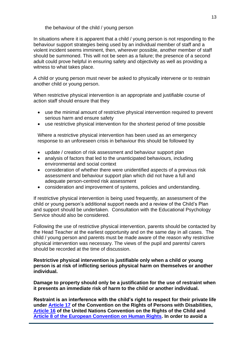the behaviour of the child / young person

In situations where it is apparent that a child / young person is not responding to the behaviour support strategies being used by an individual member of staff and a violent incident seems imminent, then, wherever possible, another member of staff should be summoned. This will not be seen as a failure; the presence of a second adult could prove helpful in ensuring safety and objectivity as well as providing a witness to what takes place.

A child or young person must never be asked to physically intervene or to restrain another child or young person.

When restrictive physical intervention is an appropriate and justifiable course of action staff should ensure that they

- use the minimal amount of restrictive physical intervention required to prevent serious harm and ensure safety
- use restrictive physical intervention for the shortest period of time possible

Where a restrictive physical intervention has been used as an emergency response to an unforeseen crisis in behaviour this should be followed by

- update / creation of risk assessment and behaviour support plan
- analysis of factors that led to the unanticipated behaviours, including environmental and social context
- consideration of whether there were unidentified aspects of a previous risk assessment and behaviour support plan which did not have a full and adequate person-centred risk assessment
- consideration and improvement of systems, policies and understanding.

If restrictive physical intervention is being used frequently, an assessment of the child or young person's additional support needs and a review of the Child's Plan and support should be undertaken. Consultation with the Educational Psychology Service should also be considered.

Following the use of restrictive physical intervention, parents should be contacted by the Head Teacher at the earliest opportunity and on the same day in all cases. The child / young person and parents must be made aware of the reason why restrictive physical intervention was necessary. The views of the pupil and parents/ carers should be recorded at the time of discussion.

**Restrictive physical intervention is justifiable only when a child or young person is at risk of inflicting serious physical harm on themselves or another individual.** 

**Damage to property should only be a justification for the use of restraint when it presents an immediate risk of harm to the child or another individual.**

**Restraint is an interference with the child's right to respect for their private life under [Article 17](https://cypcs.org.uk/rights/uncrc/articles/article-17/#:~:text=Article%2017%20of%20the%20UNCRC%20says%20children%20and,from%20many%20places%E2%80%94%20from%20their%20country%20and%20beyond.) of the Convention on the Rights of Persons with Disabilities, [Article 16](https://cypcs.org.uk/rights/uncrc/articles/article-16/#:~:text=Article%2016%20of%20the%20UNCRC%20makes%20it%20clear,to%20keep%20their%20phone%20calls%20and%20emails%20private.) of the United Nations Convention on the Rights of the Child and [Article 8 of the European Convention on Human Rights.](https://www.legislation.gov.uk/ukpga/1998/42/schedule/1/part/I/chapter/7) In order to avoid a**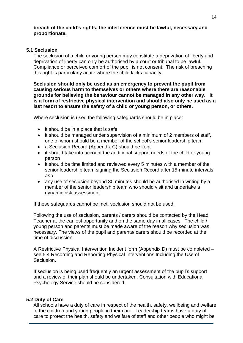#### **breach of the child's rights, the interference must be lawful, necessary and proportionate.**

#### **5.1 Seclusion**

The seclusion of a child or young person may constitute a deprivation of liberty and deprivation of liberty can only be authorised by a court or tribunal to be lawful. Compliance or perceived comfort of the pupil is not consent. The risk of breaching this right is particularly acute where the child lacks capacity.

**Seclusion should only be used as an emergency to prevent the pupil from causing serious harm to themselves or others where there are reasonable grounds for believing the behaviour cannot be managed in any other way. It is a form of restrictive physical intervention and should also only be used as a last resort to ensure the safety of a child or young person, or others.** 

Where seclusion is used the following safeguards should be in place:

- it should be in a place that is safe
- it should be managed under supervision of a minimum of 2 members of staff, one of whom should be a member of the school's senior leadership team
- a Seclusion Record (Appendix C) should be kept
- it should take into account the additional support needs of the child or young person
- it should be time limited and reviewed every 5 minutes with a member of the senior leadership team signing the Seclusion Record after 15-minute intervals *and*
- any use of seclusion beyond 30 minutes should be authorised in writing by a member of the senior leadership team who should visit and undertake a dynamic risk assessment

If these safeguards cannot be met, seclusion should not be used.

Following the use of seclusion, parents / carers should be contacted by the Head Teacher at the earliest opportunity and on the same day in all cases. The child / young person and parents must be made aware of the reason why seclusion was necessary. The views of the pupil and parents/ carers should be recorded at the time of discussion.

A Restrictive Physical Intervention Incident form (Appendix D) must be completed – see 5.4 Recording and Reporting Physical Interventions Including the Use of Seclusion.

If seclusion is being used frequently an urgent assessment of the pupil's support and a review of their plan should be undertaken. Consultation with Educational Psychology Service should be considered.

#### **5.2 Duty of Care**

All schools have a duty of care in respect of the health, safety, wellbeing and welfare of the children and young people in their care. Leadership teams have a duty of care to protect the health, safety and welfare of staff and other people who might be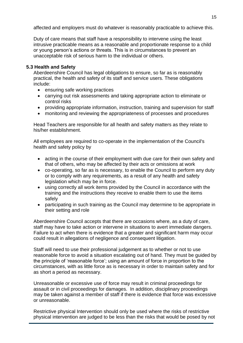affected and employers must do whatever is reasonably practicable to achieve this.

Duty of care means that staff have a responsibility to intervene using the least intrusive practicable means as a reasonable and proportionate response to a child or young person's actions or threats. This is in circumstances to prevent an unacceptable risk of serious harm to the individual or others.

#### **5.3 Health and Safety**

Aberdeenshire Council has legal obligations to ensure, so far as is reasonably practical, the health and safety of its staff and service users. These obligations include:

- ensuring safe working practices
- carrying out risk assessments and taking appropriate action to eliminate or control risks
- providing appropriate information, instruction, training and supervision for staff
- monitoring and reviewing the appropriateness of processes and procedures

Head Teachers are responsible for all health and safety matters as they relate to his/her establishment.

All employees are required to co-operate in the implementation of the Council's health and safety policy by

- acting in the course of their employment with due care for their own safety and that of others, who may be affected by their acts or omissions at work
- co-operating, so far as is necessary, to enable the Council to perform any duty or to comply with any requirements, as a result of any health and safety legislation which may be in force.
- using correctly all work items provided by the Council in accordance with the training and the instructions they receive to enable them to use the items safely
- participating in such training as the Council may determine to be appropriate in their setting and role

Aberdeenshire Council accepts that there are occasions where, as a duty of care, staff may have to take action or intervene in situations to avert immediate dangers. Failure to act when there is evidence that a greater and significant harm may occur could result in allegations of negligence and consequent litigation.

Staff will need to use their professional judgement as to whether or not to use reasonable force to avoid a situation escalating out of hand. They must be guided by the principle of 'reasonable force'; using an amount of force in proportion to the circumstances, with as little force as is necessary in order to maintain safety and for as short a period as necessary.

Unreasonable or excessive use of force may result in criminal proceedings for assault or in civil proceedings for damages. In addition, disciplinary proceedings may be taken against a member of staff if there is evidence that force was excessive or unreasonable.

Restrictive physical Intervention should only be used where the risks of restrictive physical intervention are judged to be less than the risks that would be posed by not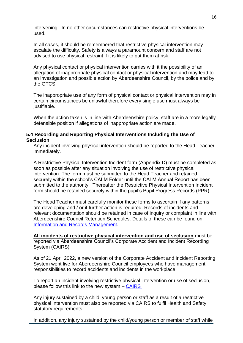intervening. In no other circumstances can restrictive physical interventions be used.

In all cases, it should be remembered that restrictive physical intervention may escalate the difficulty. Safety is always a paramount concern and staff are not advised to use physical restraint if it is likely to put them at risk.

Any physical contact or physical intervention carries with it the possibility of an allegation of inappropriate physical contact or physical intervention and may lead to an investigation and possible action by Aberdeenshire Council, by the police and by the GTCS.

The inappropriate use of any form of physical contact or physical intervention may in certain circumstances be unlawful therefore every single use must always be justifiable.

When the action taken is in line with Aberdeenshire policy, staff are in a more legally defensible position if allegations of inappropriate action are made.

#### **5.4 Recording and Reporting Physical Interventions Including the Use of Seclusion**

Any incident involving physical intervention should be reported to the Head Teacher immediately.

A Restrictive Physical Intervention Incident form (Appendix D) must be completed as soon as possible after any situation involving the use of restrictive physical intervention. The form must be submitted to the Head Teacher and retained securely within the school's CALM Folder until the CALM Annual Report has been submitted to the authority. Thereafter the Restrictive Physical Intervention Incident form should be retained securely within the pupil's Pupil Progress Records (PPR).

The Head Teacher must carefully monitor these forms to ascertain if any patterns are developing and / or if further action is required. Records of incidents and relevant documentation should be retained in case of inquiry or complaint in line with Aberdeenshire Council Retention Schedules. Details of these can be found on [Information and Records Management.](https://aberdeenshire.sharepoint.com/sites/Arcadia/services/Pages/Business%20Services/Legal%20and%20Governance/Information%20Governance/Records-Management.aspx)

**All incidents of restrictive physical intervention and use of seclusion** must be reported via Aberdeenshire Council's Corporate Accident and Incident Recording System (CAIRS).

As of 21 April 2022, a new version of the Corporate Accident and Incident Reporting System went live for Aberdeenshire Council employees who have management responsibilities to record accidents and incidents in the workplace.

To report an incident involving restrictive physical intervention or use of seclusion, please follow this link to the new system – [CAIRS](https://abshire.cherwellondemand.com/CherwellPortal/askhrv2?Locale=en-GB&_=2da35307)

Any injury sustained by a child, young person or staff as a result of a restrictive physical intervention must also be reported via CAIRS to fulfil Health and Safety statutory requirements.

In addition, any injury sustained by the child/young person or member of staff while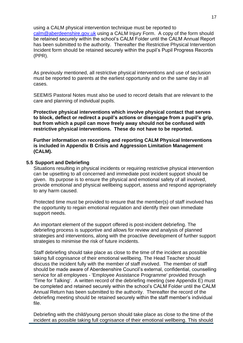using a CALM physical intervention technique must be reported to

[calm@aberdeenshire.gov.uk](mailto:calm@aberdeenshire.gov.uk) using a CALM Injury Form. A copy of the form should be retained securely within the school's CALM Folder until the CALM Annual Report has been submitted to the authority. Thereafter the Restrictive Physical Intervention Incident form should be retained securely within the pupil's Pupil Progress Records (PPR).

As previously mentioned, all restrictive physical interventions and use of seclusion must be reported to parents at the earliest opportunity and on the same day in all cases.

SEEMIS Pastoral Notes must also be used to record details that are relevant to the care and planning of individual pupils.

**Protective physical interventions which involve physical contact that serves to block, deflect or redirect a pupil's actions or disengage from a pupil's grip, but from which a pupil can move freely away should not be confused with restrictive physical interventions. These do not have to be reported.**

**Further information on recording and reporting CALM Physical Interventions is included in Appendix B Crisis and Aggression Limitation Management (CALM).**

#### **5.5 Support and Debriefing**

Situations resulting in physical incidents or requiring restrictive physical intervention can be upsetting to all concerned and immediate post incident support should be given. Its purpose is to ensure the physical and emotional safety of all involved, provide emotional and physical wellbeing support, assess and respond appropriately to any harm caused.

Protected time must be provided to ensure that the member(s) of staff involved has the opportunity to regain emotional regulation and identify their own immediate support needs.

An important element of the support offered is post-incident debriefing. The debriefing process is supportive and allows for review and analysis of planned strategies and interventions, along with the proactive development of further support strategies to minimise the risk of future incidents.

Staff debriefing should take place as close to the time of the incident as possible taking full cognisance of their emotional wellbeing. The Head Teacher should discuss the incident fully with the member of staff involved. The member of staff should be made aware of Aberdeenshire Council's external, confidential, counselling service for all employees - 'Employee Assistance Programme' provided through 'Time for Talking'. A written record of the debriefing meeting (see Appendix E) must be completed and retained securely within the school's CALM Folder until the CALM Annual Return has been submitted to the authority. Thereafter the record of the debriefing meeting should be retained securely within the staff member's individual file.

Debriefing with the child/young person should take place as close to the time of the incident as possible taking full cognisance of their emotional wellbeing. This should